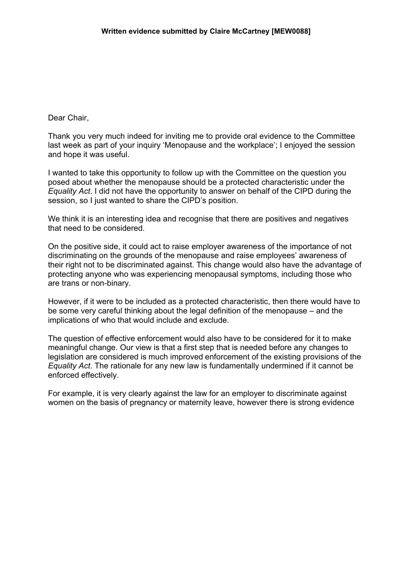## Dear Chair,

Thank you very much indeed for inviting me to provide oral evidence to the Committee last week as part of your inquiry 'Menopause and the workplace'; I enjoyed the session and hope it was useful.

I wanted to take this opportunity to follow up with the Committee on the question you posed about whether the menopause should be a protected characteristic under the *Equality Act*. I did not have the opportunity to answer on behalf of the CIPD during the session, so I just wanted to share the CIPD's position.

We think it is an interesting idea and recognise that there are positives and negatives that need to be considered.

On the positive side, it could act to raise employer awareness of the importance of not discriminating on the grounds of the menopause and raise employees' awareness of their right not to be discriminated against. This change would also have the advantage of protecting anyone who was experiencing menopausal symptoms, including those who are trans or non-binary.

However, if it were to be included as a protected characteristic, then there would have to be some very careful thinking about the legal definition of the menopause – and the implications of who that would include and exclude.

The question of effective enforcement would also have to be considered for it to make meaningful change. Our view is that a first step that is needed before any changes to legislation are considered is much improved enforcement of the existing provisions of the *Equality Act*. The rationale for any new law is fundamentally undermined if it cannot be enforced effectively.

For example, it is very clearly against the law for an employer to discriminate against women on the basis of pregnancy or maternity leave, however there is strong evidence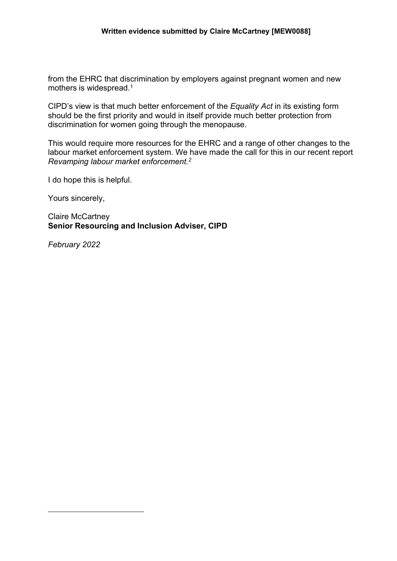from the EHRC that discrimination by employers against pregnant women and new mothers is widespread.<sup>1</sup>

CIPD's view is that much better enforcement of the *Equality Act* in its existing form should be the first priority and would in itself provide much better protection from discrimination for women going through the menopause.

This would require more resources for the EHRC and a range of other changes to the labour market enforcement system. We have made the call for this in our recent report *Revamping labour market enforcement.<sup>2</sup>*

I do hope this is helpful.

Yours sincerely,

Claire McCartney **Senior Resourcing and Inclusion Adviser, CIPD**

*February 2022*